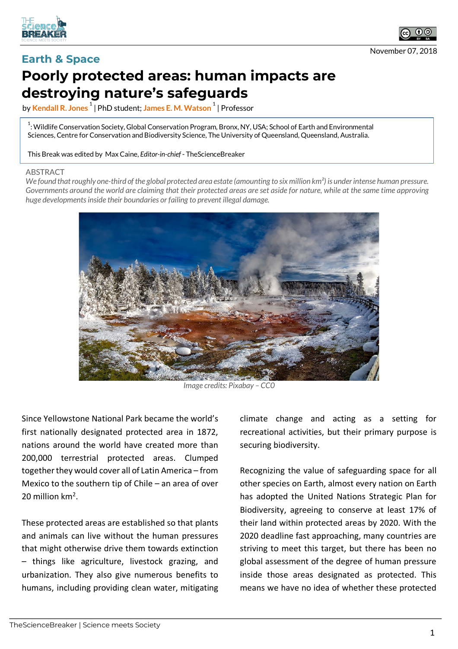



November 07, 2018

## **Earth & Space Poorly protected areas: human impacts are destroying nature's safeguards**

by **Kendall R. Jones <sup>1</sup>** | PhD student; **James E. M. Watson <sup>1</sup>** | Professor

 $^{\rm 1}$ : Wildlife Conservation Society, Global Conservation Program, Bronx, NY, USA; School of Earth and Environmental Sciences, Centre for Conservation and Biodiversity Science, The University of Queensland, Queensland, Australia.

This Break was edited by Max Caine, *Editor-in-chief* - TheScienceBreaker

## ABSTRACT

*We found that roughly one-third of the global protected area estate (amounting to six million km²) is under intense human pressure. Governments around the world are claiming that their protected areas are set aside for nature, while at the same time approving huge developments inside their boundaries or failing to prevent illegal damage.*



*Image credits: Pixabay – CC0*

Since Yellowstone National Park became the world's first nationally designated protected area in 1872, nations around the world have created more than 200,000 terrestrial protected areas. Clumped together they would cover all of Latin America – from Mexico to the southern tip of Chile – an area of over 20 million km2.

These protected areas are established so that plants and animals can live without the human pressures that might otherwise drive them towards extinction – things like agriculture, livestock grazing, and urbanization. They also give numerous benefits to humans, including providing clean water, mitigating climate change and acting as a setting for recreational activities, but their primary purpose is securing biodiversity.

Recognizing the value of safeguarding space for all other species on Earth, almost every nation on Earth has adopted the United Nations Strategic Plan for Biodiversity, agreeing to conserve at least 17% of their land within protected areas by 2020. With the 2020 deadline fast approaching, many countries are striving to meet this target, but there has been no global assessment of the degree of human pressure inside those areas designated as protected. This means we have no idea of whether these protected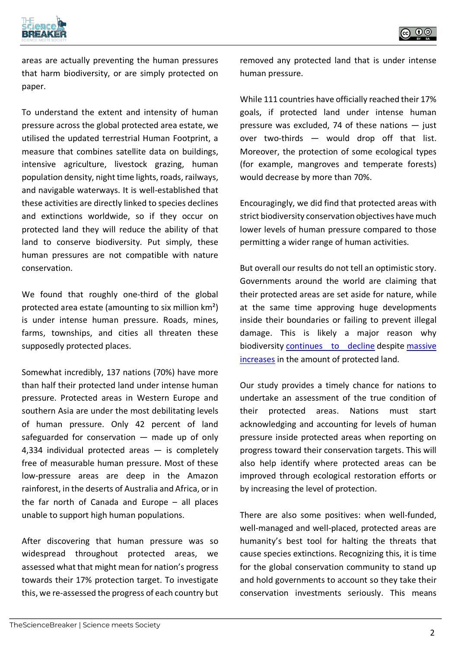



areas are actually preventing the human pressures that harm biodiversity, or are simply protected on paper.

To understand the extent and intensity of human pressure across the global protected area estate, we utilised the updated terrestrial Human Footprint, a measure that combines satellite data on buildings, intensive agriculture, livestock grazing, human population density, night time lights, roads, railways, and navigable waterways. It is well-established that these activities are directly linked to species declines and extinctions worldwide, so if they occur on protected land they will reduce the ability of that land to conserve biodiversity. Put simply, these human pressures are not compatible with nature conservation.

We found that roughly one-third of the global protected area estate (amounting to six million km²) is under intense human pressure. Roads, mines, farms, townships, and cities all threaten these supposedly protected places.

Somewhat incredibly, 137 nations (70%) have more than half their protected land under intense human pressure. Protected areas in Western Europe and southern Asia are under the most debilitating levels of human pressure. Only 42 percent of land safeguarded for conservation  $-$  made up of only 4,334 individual protected areas  $-$  is completely free of measurable human pressure. Most of these low-pressure areas are deep in the Amazon rainforest, in the deserts of Australia and Africa, or in the far north of Canada and Europe – all places unable to support high human populations.

After discovering that human pressure was so widespread throughout protected areas, we assessed what that might mean for nation's progress towards their 17% protection target. To investigate this, we re-assessed the progress of each country but removed any protected land that is under intense human pressure.

While 111 countries have officially reached their 17% goals, if protected land under intense human pressure was excluded, 74 of these nations  $-$  just over two-thirds — would drop off that list. Moreover, the protection of some ecological types (for example, mangroves and temperate forests) would decrease by more than 70%.

Encouragingly, we did find that protected areas with strict biodiversity conservation objectives have much lower levels of human pressure compared to those permitting a wider range of human activities.

But overall our results do not tell an optimistic story. Governments around the world are claiming that their protected areas are set aside for nature, while at the same time approving huge developments inside their boundaries or failing to prevent illegal damage. This is likely a major reason why biodiversity continues to decline despite massive increases in the amount of protected land.

Our study provides a timely chance for nations to undertake an assessment of the true condition of their protected areas. Nations must start acknowledging and accounting for levels of human pressure inside protected areas when reporting on progress toward their conservation targets. This will also help identify where protected areas can be improved through ecological restoration efforts or by increasing the level of protection.

There are also some positives: when well-funded, well-managed and well-placed, protected areas are humanity's best tool for halting the threats that cause species extinctions. Recognizing this, it is time for the global conservation community to stand up and hold governments to account so they take their conservation investments seriously. This means